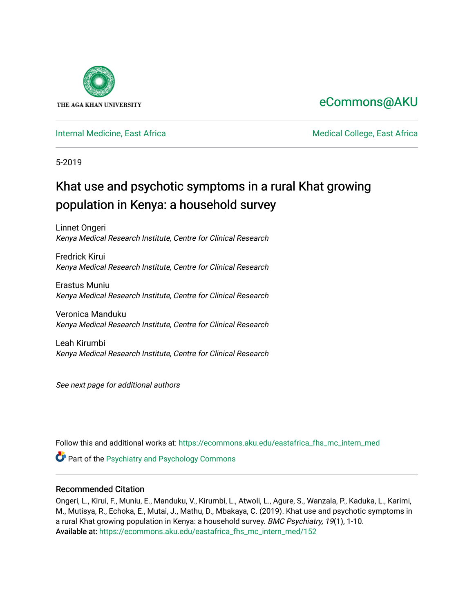

# [eCommons@AKU](https://ecommons.aku.edu/)

# [Internal Medicine, East Africa](https://ecommons.aku.edu/eastafrica_fhs_mc_intern_med) **Medical College, East Africa** Medical College, East Africa

5-2019

# Khat use and psychotic symptoms in a rural Khat growing population in Kenya: a household survey

Linnet Ongeri Kenya Medical Research Institute, Centre for Clinical Research

Fredrick Kirui Kenya Medical Research Institute, Centre for Clinical Research

Erastus Muniu Kenya Medical Research Institute, Centre for Clinical Research

Veronica Manduku Kenya Medical Research Institute, Centre for Clinical Research

Leah Kirumbi Kenya Medical Research Institute, Centre for Clinical Research

See next page for additional authors

Follow this and additional works at: [https://ecommons.aku.edu/eastafrica\\_fhs\\_mc\\_intern\\_med](https://ecommons.aku.edu/eastafrica_fhs_mc_intern_med?utm_source=ecommons.aku.edu%2Feastafrica_fhs_mc_intern_med%2F152&utm_medium=PDF&utm_campaign=PDFCoverPages) 

Part of the [Psychiatry and Psychology Commons](http://network.bepress.com/hgg/discipline/908?utm_source=ecommons.aku.edu%2Feastafrica_fhs_mc_intern_med%2F152&utm_medium=PDF&utm_campaign=PDFCoverPages) 

# Recommended Citation

Ongeri, L., Kirui, F., Muniu, E., Manduku, V., Kirumbi, L., Atwoli, L., Agure, S., Wanzala, P., Kaduka, L., Karimi, M., Mutisya, R., Echoka, E., Mutai, J., Mathu, D., Mbakaya, C. (2019). Khat use and psychotic symptoms in a rural Khat growing population in Kenya: a household survey. BMC Psychiatry, 19(1), 1-10. Available at: [https://ecommons.aku.edu/eastafrica\\_fhs\\_mc\\_intern\\_med/152](https://ecommons.aku.edu/eastafrica_fhs_mc_intern_med/152)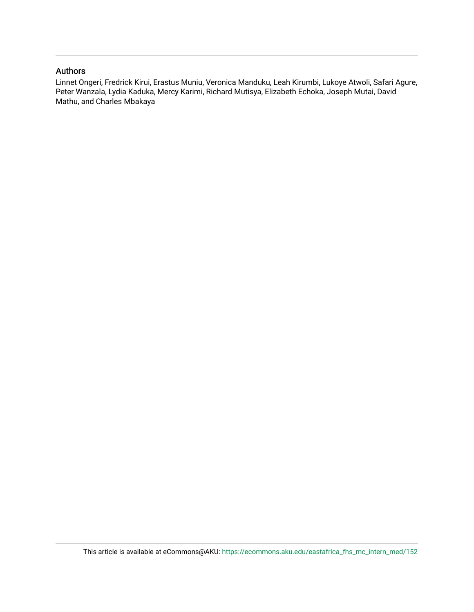# Authors

Linnet Ongeri, Fredrick Kirui, Erastus Muniu, Veronica Manduku, Leah Kirumbi, Lukoye Atwoli, Safari Agure, Peter Wanzala, Lydia Kaduka, Mercy Karimi, Richard Mutisya, Elizabeth Echoka, Joseph Mutai, David Mathu, and Charles Mbakaya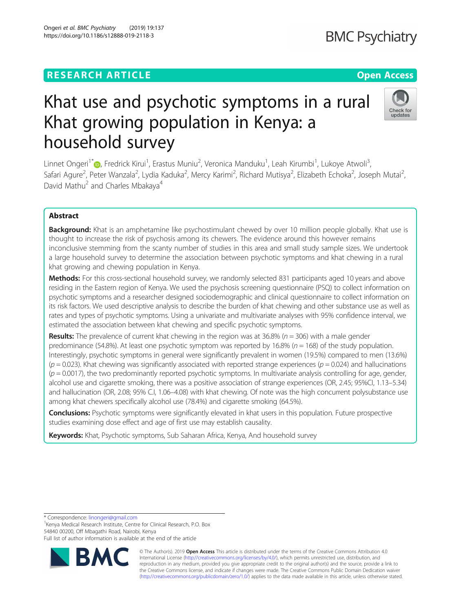# **RESEARCH ARTICLE Example 2014 12:30 The Contract of Contract ACCESS**

# Khat use and psychotic symptoms in a rural Khat growing population in Kenya: a household survey

Linnet Ongeri<sup>1[\\*](http://orcid.org/0000-0003-2330-6144)</sup>®, Fredrick Kirui<sup>1</sup>, Erastus Muniu<sup>2</sup>, Veronica Manduku<sup>1</sup>, Leah Kirumbi<sup>1</sup>, Lukoye Atwoli<sup>3</sup> , Safari Agure<sup>2</sup>, Peter Wanzala<sup>2</sup>, Lydia Kaduka<sup>2</sup>, Mercy Karimi<sup>2</sup>, Richard Mutisya<sup>2</sup>, Elizabeth Echoka<sup>2</sup>, Joseph Mutai<sup>2</sup> , David Mathu<sup>2</sup> and Charles Mbakaya<sup>4</sup>

# Abstract

**Background:** Khat is an amphetamine like psychostimulant chewed by over 10 million people globally. Khat use is thought to increase the risk of psychosis among its chewers. The evidence around this however remains inconclusive stemming from the scanty number of studies in this area and small study sample sizes. We undertook a large household survey to determine the association between psychotic symptoms and khat chewing in a rural khat growing and chewing population in Kenya.

Methods: For this cross-sectional household survey, we randomly selected 831 participants aged 10 years and above residing in the Eastern region of Kenya. We used the psychosis screening questionnaire (PSQ) to collect information on psychotic symptoms and a researcher designed sociodemographic and clinical questionnaire to collect information on its risk factors. We used descriptive analysis to describe the burden of khat chewing and other substance use as well as rates and types of psychotic symptoms. Using a univariate and multivariate analyses with 95% confidence interval, we estimated the association between khat chewing and specific psychotic symptoms.

**Results:** The prevalence of current khat chewing in the region was at 36.8% ( $n = 306$ ) with a male gender predominance (54.8%). At least one psychotic symptom was reported by 16.8% ( $n = 168$ ) of the study population. Interestingly, psychotic symptoms in general were significantly prevalent in women (19.5%) compared to men (13.6%)  $(p = 0.023)$ . Khat chewing was significantly associated with reported strange experiences ( $p = 0.024$ ) and hallucinations  $(p = 0.0017)$ , the two predominantly reported psychotic symptoms. In multivariate analysis controlling for age, gender, alcohol use and cigarette smoking, there was a positive association of strange experiences (OR, 2.45; 95%CI, 1.13–5.34) and hallucination (OR, 2.08; 95% C.I, 1.06–4.08) with khat chewing. Of note was the high concurrent polysubstance use among khat chewers specifically alcohol use (78.4%) and cigarette smoking (64.5%).

Conclusions: Psychotic symptoms were significantly elevated in khat users in this population. Future prospective studies examining dose effect and age of first use may establish causality.

Keywords: Khat, Psychotic symptoms, Sub Saharan Africa, Kenya, And household survey

\* Correspondence: [linongeri@gmail.com](mailto:linongeri@gmail.com) <sup>1</sup>

<sup>1</sup> Kenya Medical Research Institute, Centre for Clinical Research, P.O. Box 54840 00200, Off Mbagathi Road, Nairobi, Kenya

Full list of author information is available at the end of the article



© The Author(s). 2019 **Open Access** This article is distributed under the terms of the Creative Commons Attribution 4.0 International License [\(http://creativecommons.org/licenses/by/4.0/](http://creativecommons.org/licenses/by/4.0/)), which permits unrestricted use, distribution, and reproduction in any medium, provided you give appropriate credit to the original author(s) and the source, provide a link to the Creative Commons license, and indicate if changes were made. The Creative Commons Public Domain Dedication waiver [\(http://creativecommons.org/publicdomain/zero/1.0/](http://creativecommons.org/publicdomain/zero/1.0/)) applies to the data made available in this article, unless otherwise stated.



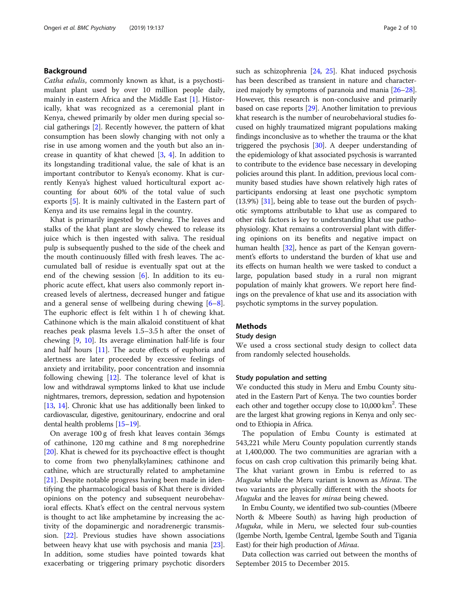# Background

Catha edulis, commonly known as khat, is a psychostimulant plant used by over 10 million people daily, mainly in eastern Africa and the Middle East [\[1\]](#page-10-0). Historically, khat was recognized as a ceremonial plant in Kenya, chewed primarily by older men during special social gatherings [\[2](#page-10-0)]. Recently however, the pattern of khat consumption has been slowly changing with not only a rise in use among women and the youth but also an increase in quantity of khat chewed [[3,](#page-10-0) [4\]](#page-10-0). In addition to its longstanding traditional value, the sale of khat is an important contributor to Kenya's economy. Khat is currently Kenya's highest valued horticultural export accounting for about 60% of the total value of such exports [[5](#page-10-0)]. It is mainly cultivated in the Eastern part of Kenya and its use remains legal in the country.

Khat is primarily ingested by chewing. The leaves and stalks of the khat plant are slowly chewed to release its juice which is then ingested with saliva. The residual pulp is subsequently pushed to the side of the cheek and the mouth continuously filled with fresh leaves. The accumulated ball of residue is eventually spat out at the end of the chewing session [[6](#page-10-0)]. In addition to its euphoric acute effect, khat users also commonly report increased levels of alertness, decreased hunger and fatigue and a general sense of wellbeing during chewing [\[6](#page-10-0)–[8](#page-10-0)]. The euphoric effect is felt within 1 h of chewing khat. Cathinone which is the main alkaloid constituent of khat reaches peak plasma levels 1.5–3.5 h after the onset of chewing [[9,](#page-10-0) [10\]](#page-10-0). Its average elimination half-life is four and half hours [\[11](#page-10-0)]. The acute effects of euphoria and alertness are later proceeded by excessive feelings of anxiety and irritability, poor concentration and insomnia following chewing [\[12](#page-10-0)]. The tolerance level of khat is low and withdrawal symptoms linked to khat use include nightmares, tremors, depression, sedation and hypotension [[13](#page-10-0), [14](#page-10-0)]. Chronic khat use has additionally been linked to cardiovascular, digestive, genitourinary, endocrine and oral dental health problems [\[15](#page-10-0)–[19\]](#page-10-0).

On average 100 g of fresh khat leaves contain 36mgs of cathinone, 120 mg cathine and 8 mg norephedrine [[20\]](#page-10-0). Khat is chewed for its psychoactive effect is thought to come from two phenylalkylamines; cathinone and cathine, which are structurally related to amphetamine [[21\]](#page-11-0). Despite notable progress having been made in identifying the pharmacological basis of Khat there is divided opinions on the potency and subsequent neurobehavioral effects. Khat's effect on the central nervous system is thought to act like amphetamine by increasing the activity of the dopaminergic and noradrenergic transmission. [\[22](#page-11-0)]. Previous studies have shown associations between heavy khat use with psychosis and mania [\[23](#page-11-0)]. In addition, some studies have pointed towards khat exacerbating or triggering primary psychotic disorders such as schizophrenia [\[24,](#page-11-0) [25](#page-11-0)]. Khat induced psychosis has been described as transient in nature and characterized majorly by symptoms of paranoia and mania [\[26](#page-11-0)–[28](#page-11-0)]. However, this research is non-conclusive and primarily based on case reports [[29](#page-11-0)]. Another limitation to previous khat research is the number of neurobehavioral studies focused on highly traumatized migrant populations making findings inconclusive as to whether the trauma or the khat triggered the psychosis [\[30\]](#page-11-0). A deeper understanding of the epidemiology of khat associated psychosis is warranted to contribute to the evidence base necessary in developing policies around this plant. In addition, previous local community based studies have shown relatively high rates of participants endorsing at least one psychotic symptom (13.9%) [\[31](#page-11-0)], being able to tease out the burden of psychotic symptoms attributable to khat use as compared to other risk factors is key to understanding khat use pathophysiology. Khat remains a controversial plant with differing opinions on its benefits and negative impact on human health [\[32\]](#page-11-0), hence as part of the Kenyan government's efforts to understand the burden of khat use and its effects on human health we were tasked to conduct a large, population based study in a rural non migrant population of mainly khat growers. We report here findings on the prevalence of khat use and its association with psychotic symptoms in the survey population.

# **Methods**

# Study design

We used a cross sectional study design to collect data from randomly selected households.

# Study population and setting

We conducted this study in Meru and Embu County situated in the Eastern Part of Kenya. The two counties border each other and together occupy close to 10,000 km<sup>2</sup>. These are the largest khat growing regions in Kenya and only second to Ethiopia in Africa.

The population of Embu County is estimated at 543,221 while Meru County population currently stands at 1,400,000. The two communities are agrarian with a focus on cash crop cultivation this primarily being khat. The khat variant grown in Embu is referred to as Muguka while the Meru variant is known as Miraa. The two variants are physically different with the shoots for Muguka and the leaves for miraa being chewed.

In Embu County, we identified two sub-counties (Mbeere North & Mbeere South) as having high production of Muguka, while in Meru, we selected four sub-counties (Igembe North, Igembe Central, Igembe South and Tigania East) for their high production of Miraa.

Data collection was carried out between the months of September 2015 to December 2015.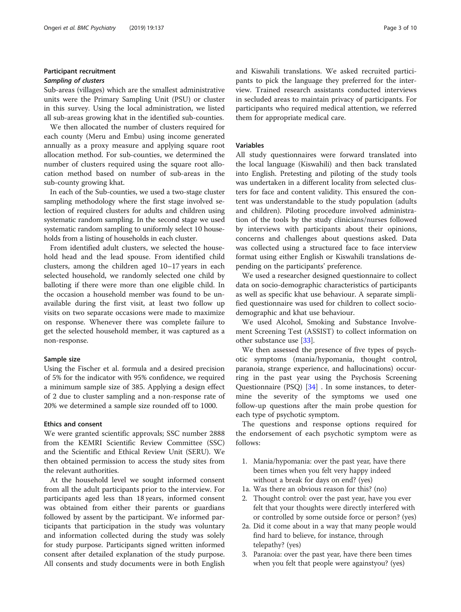# Participant recruitment

Sub-areas (villages) which are the smallest administrative units were the Primary Sampling Unit (PSU) or cluster in this survey. Using the local administration, we listed all sub-areas growing khat in the identified sub-counties.

We then allocated the number of clusters required for each county (Meru and Embu) using income generated annually as a proxy measure and applying square root allocation method. For sub-counties, we determined the number of clusters required using the square root allocation method based on number of sub-areas in the sub-county growing khat.

In each of the Sub-counties, we used a two-stage cluster sampling methodology where the first stage involved selection of required clusters for adults and children using systematic random sampling. In the second stage we used systematic random sampling to uniformly select 10 households from a listing of households in each cluster.

From identified adult clusters, we selected the household head and the lead spouse. From identified child clusters, among the children aged 10–17 years in each selected household, we randomly selected one child by balloting if there were more than one eligible child. In the occasion a household member was found to be unavailable during the first visit, at least two follow up visits on two separate occasions were made to maximize on response. Whenever there was complete failure to get the selected household member, it was captured as a non-response.

# Sample size

Using the Fischer et al. formula and a desired precision of 5% for the indicator with 95% confidence, we required a minimum sample size of 385. Applying a design effect of 2 due to cluster sampling and a non-response rate of 20% we determined a sample size rounded off to 1000.

# Ethics and consent

We were granted scientific approvals; SSC number 2888 from the KEMRI Scientific Review Committee (SSC) and the Scientific and Ethical Review Unit (SERU). We then obtained permission to access the study sites from the relevant authorities.

At the household level we sought informed consent from all the adult participants prior to the interview. For participants aged less than 18 years, informed consent was obtained from either their parents or guardians followed by assent by the participant. We informed participants that participation in the study was voluntary and information collected during the study was solely for study purpose. Participants signed written informed consent after detailed explanation of the study purpose. All consents and study documents were in both English and Kiswahili translations. We asked recruited participants to pick the language they preferred for the interview. Trained research assistants conducted interviews in secluded areas to maintain privacy of participants. For participants who required medical attention, we referred them for appropriate medical care.

# Variables

All study questionnaires were forward translated into the local language (Kiswahili) and then back translated into English. Pretesting and piloting of the study tools was undertaken in a different locality from selected clusters for face and content validity. This ensured the content was understandable to the study population (adults and children). Piloting procedure involved administration of the tools by the study clinicians/nurses followed by interviews with participants about their opinions, concerns and challenges about questions asked. Data was collected using a structured face to face interview format using either English or Kiswahili translations depending on the participants' preference.

We used a researcher designed questionnaire to collect data on socio-demographic characteristics of participants as well as specific khat use behaviour. A separate simplified questionnaire was used for children to collect sociodemographic and khat use behaviour.

We used Alcohol, Smoking and Substance Involvement Screening Test (ASSIST) to collect information on other substance use [[33](#page-11-0)].

We then assessed the presence of five types of psychotic symptoms (mania/hypomania, thought control, paranoia, strange experience, and hallucinations) occurring in the past year using the Psychosis Screening Questionnaire (PSQ) [[34\]](#page-11-0) . In some instances, to determine the severity of the symptoms we used one follow-up questions after the main probe question for each type of psychotic symptom.

The questions and response options required for the endorsement of each psychotic symptom were as follows:

- 1. Mania/hypomania: over the past year, have there been times when you felt very happy indeed without a break for days on end? (yes)
- 1a. Was there an obvious reason for this? (no)
- 2. Thought control: over the past year, have you ever felt that your thoughts were directly interfered with or controlled by some outside force or person? (yes)
- 2a. Did it come about in a way that many people would find hard to believe, for instance, through telepathy? (yes)
- 3. Paranoia: over the past year, have there been times when you felt that people were againstyou? (yes)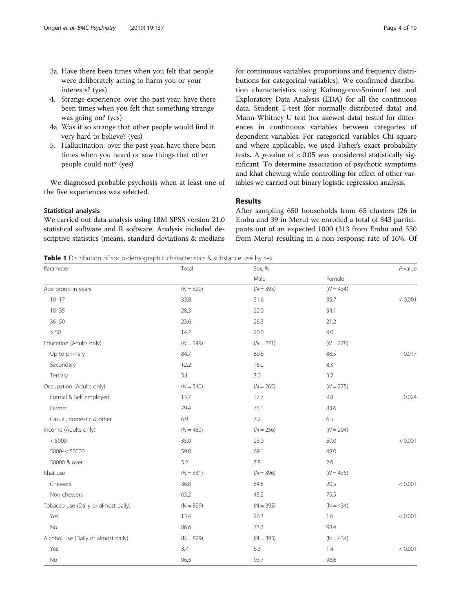- <span id="page-5-0"></span>3a. Have there been times when you felt that people were deliberately acting to harm you or your interests? (yes)
- 4. Strange experience: over the past year, have there been times when you felt that something strange was going on? (yes)
- 4a. Was it so strange that other people would find it very hard to believe? (yes)
- 5. Hallucination: over the past year, have there been times when you heard or saw things that other people could not? (yes)

We diagnosed probable psychosis when at least one of the five experiences was selected.

# Statistical analysis

We carried out data analysis using IBM SPSS version 21.0 statistical software and R software. Analysis included descriptive statistics (means, standard deviations & medians for continuous variables, proportions and frequency distributions for categorical variables). We confirmed distribution characteristics using Kolmogorov-Sminorf test and Exploratory Data Analysis (EDA) for all the continuous data. Student T-test (for normally distributed data) and Mann-Whitney U test (for skewed data) tested for differences in continuous variables between categories of dependent variables. For categorical variables Chi-square and where applicable, we used Fisher's exact probability tests. A *p*-value of  $< 0.05$  was considered statistically significant. To determine association of psychotic symptoms

# Results

After sampling 650 households from 65 clusters (26 in Embu and 39 in Meru) we enrolled a total of 843 participants out of an expected 1000 (313 from Embu and 530 from Meru) resulting in a non-response rate of 16%. Of

and khat chewing while controlling for effect of other variables we carried out binary logistic regression analysis.

**Table 1** Distribution of socio-demographic characteristics & substance use by sex

| Parameter                           | Total       | Sex, %      |             |         |  |
|-------------------------------------|-------------|-------------|-------------|---------|--|
|                                     |             | Male        | Female      |         |  |
| Age group in years                  | $(N = 829)$ | $(N = 395)$ | $(N = 434)$ |         |  |
| $10 - 17$                           | 33.8        | 31.6        | 35.7        | < 0.001 |  |
| $18 - 35$                           | 28.3        | 22.0        | 34.1        |         |  |
| $36 - 50$                           | 23.6        | 26.3        | 21.2        |         |  |
| $>50$                               | 14.2        | 20.0        | 9.0         |         |  |
| Education (Adults only)             | $(N = 549)$ | $(N = 271)$ | $(N = 278)$ |         |  |
| Up to primary                       | 84.7        | 80.8        | 88.5        | 0.017   |  |
| Secondary                           | 12.2        | 16.2        | 8.3         |         |  |
| Tertiary                            | 3.1         | 3.0         | 3.2         |         |  |
| Occupation (Adults only)            | $(N = 540)$ | $(N = 265)$ | $(N = 275)$ |         |  |
| Formal & Self employed              | 13.7        | 17.7        | 9.8         | 0.024   |  |
| Farmer                              | 79.4        | 75.1        | 83.6        |         |  |
| Casual, domestic & other            | 6.9         | 7.2         | 6.5         |         |  |
| Income (Adults only)                | $(N = 460)$ | $(N = 256)$ | $(N = 204)$ |         |  |
| < 5000                              | 35.0        | 23.0        | 50.0        | < 0.001 |  |
| $5000 - < 50000$                    | 59.8        | 69.1        | 48.0        |         |  |
| 50000 & over                        | 5.2         | 7.8         | 2.0         |         |  |
| Khat use                            | $(N = 831)$ | $(N = 396)$ | $(N = 435)$ |         |  |
| Chewers                             | 36.8        | 54.8        | 20.5        | < 0.001 |  |
| Non chewers                         | 63.2        | 45.2        | 79.5        |         |  |
| Tobacco use (Daily or almost daily) | $(N = 829)$ | $(N = 395)$ | $(N = 434)$ |         |  |
| Yes                                 | 13.4        | 26.3        | 1.6         | < 0.001 |  |
| No                                  | 86.6        | 73,7        | 98.4        |         |  |
| Alcohol use (Daily or almost daily) | $(N = 829)$ | $(N = 395)$ | $(N = 434)$ |         |  |
| Yes                                 | 3.7         | 6.3         | 1.4         | < 0.001 |  |
| No                                  | 96.3        | 93.7        | 98.6        |         |  |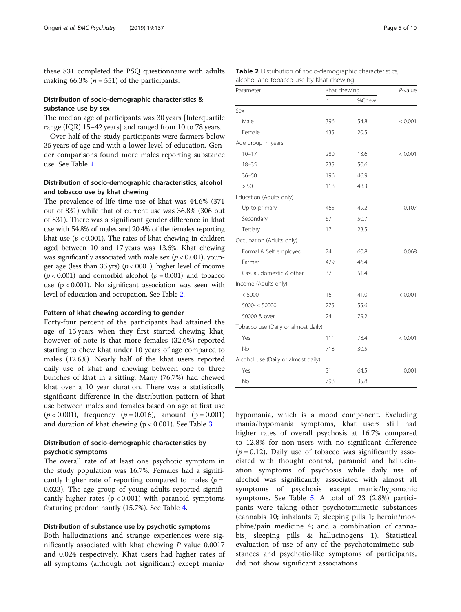these 831 completed the PSQ questionnaire with adults making 66.3% ( $n = 551$ ) of the participants.

# Distribution of socio-demographic characteristics & substance use by sex

The median age of participants was 30 years [Interquartile range (IQR) 15–42 years] and ranged from 10 to 78 years.

Over half of the study participants were farmers below 35 years of age and with a lower level of education. Gender comparisons found more males reporting substance use. See Table [1](#page-5-0).

# Distribution of socio-demographic characteristics, alcohol and tobacco use by khat chewing

The prevalence of life time use of khat was 44.6% (371 out of 831) while that of current use was 36.8% (306 out of 831). There was a significant gender difference in khat use with 54.8% of males and 20.4% of the females reporting khat use ( $p < 0.001$ ). The rates of khat chewing in children aged between 10 and 17 years was 13.6%. Khat chewing was significantly associated with male sex ( $p < 0.001$ ), younger age (less than 35 yrs) ( $p < 0001$ ), higher level of income  $(p < 0.001)$  and comorbid alcohol  $(p = 0.001)$  and tobacco use  $(p < 0.001)$ . No significant association was seen with level of education and occupation. See Table 2.

# Pattern of khat chewing according to gender

Forty-four percent of the participants had attained the age of 15 years when they first started chewing khat, however of note is that more females (32.6%) reported starting to chew khat under 10 years of age compared to males (12.6%). Nearly half of the khat users reported daily use of khat and chewing between one to three bunches of khat in a sitting. Many (76.7%) had chewed khat over a 10 year duration. There was a statistically significant difference in the distribution pattern of khat use between males and females based on age at first use  $(p < 0.001)$ , frequency  $(p = 0.016)$ , amount  $(p = 0.001)$ and duration of khat chewing  $(p < 0.001)$ . See Table [3.](#page-7-0)

# Distribution of socio-demographic characteristics by psychotic symptoms

The overall rate of at least one psychotic symptom in the study population was 16.7%. Females had a significantly higher rate of reporting compared to males ( $p =$ 0.023). The age group of young adults reported significantly higher rates  $(p < 0.001)$  with paranoid symptoms featuring predominantly (15.7%). See Table [4](#page-8-0).

# Distribution of substance use by psychotic symptoms

Both hallucinations and strange experiences were significantly associated with khat chewing  $P$  value 0.0017 and 0.024 respectively. Khat users had higher rates of all symptoms (although not significant) except mania/

| Table 2 Distribution of socio-demographic characteristics, |
|------------------------------------------------------------|
| alcohol and tobacco use by Khat chewing                    |

| Parameter                           | Khat chewing |       | P-value |
|-------------------------------------|--------------|-------|---------|
|                                     | n            | %Chew |         |
| Sex                                 |              |       |         |
| Male                                | 396          | 54.8  | < 0.001 |
| Female                              | 435          | 20.5  |         |
| Age group in years                  |              |       |         |
| $10 - 17$                           | 280          | 13.6  | < 0.001 |
| $18 - 35$                           | 235          | 50.6  |         |
| $36 - 50$                           | 196          | 46.9  |         |
| > 50                                | 118          | 48.3  |         |
| Education (Adults only)             |              |       |         |
| Up to primary                       | 465          | 49.2  | 0.107   |
| Secondary                           | 67           | 50.7  |         |
| Tertiary                            | 17           | 23.5  |         |
| Occupation (Adults only)            |              |       |         |
| Formal & Self employed              | 74           | 60.8  | 0.068   |
| Farmer                              | 429          | 46.4  |         |
| Casual, domestic & other            | 37           | 51.4  |         |
| Income (Adults only)                |              |       |         |
| < 5000                              | 161          | 41.0  | < 0.001 |
| $5000 - < 50000$                    | 275          | 55.6  |         |
| 50000 & over                        | 24           | 79.2  |         |
| Tobacco use (Daily or almost daily) |              |       |         |
| Yes                                 | 111          | 78.4  | < 0.001 |
| <b>No</b>                           | 718          | 30.5  |         |
| Alcohol use (Daily or almost daily) |              |       |         |
| Yes                                 | 31           | 64.5  | 0.001   |
| <b>No</b>                           | 798          | 35.8  |         |

hypomania, which is a mood component. Excluding mania/hypomania symptoms, khat users still had higher rates of overall psychosis at 16.7% compared to 12.8% for non-users with no significant difference  $(p = 0.12)$ . Daily use of tobacco was significantly associated with thought control, paranoid and hallucination symptoms of psychosis while daily use of alcohol was significantly associated with almost all symptoms of psychosis except manic/hypomanic symptoms. See Table [5.](#page-8-0) A total of 23 (2.8%) participants were taking other psychotomimetic substances (cannabis 10; inhalants 7; sleeping pills 1; heroin/morphine/pain medicine 4; and a combination of cannabis, sleeping pills & hallucinogens 1). Statistical evaluation of use of any of the psychotomimetic substances and psychotic-like symptoms of participants, did not show significant associations.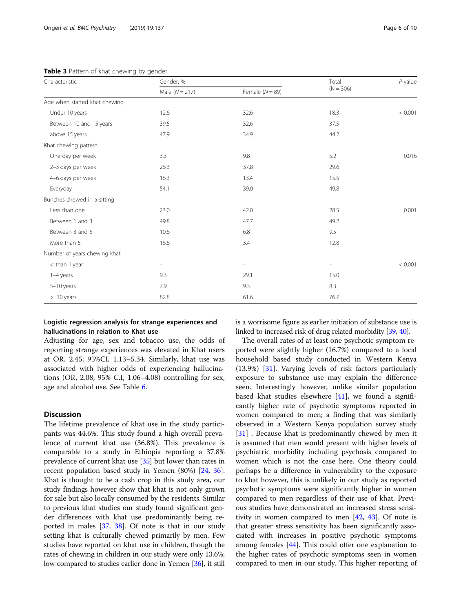| Characteristic                | Gender, %        |                          | Total                         | $P$ -value |  |
|-------------------------------|------------------|--------------------------|-------------------------------|------------|--|
|                               | Male $(N = 217)$ | Female $(N = 89)$        | $(N = 306)$                   |            |  |
| Age when started khat chewing |                  |                          |                               |            |  |
| Under 10 years                | 12.6             | 32.6                     | 18.3                          | < 0.001    |  |
| Between 10 and 15 years       | 39.5             | 32.6                     | 37.5                          |            |  |
| above 15 years                | 47.9             | 34.9                     | 44.2                          |            |  |
| Khat chewing pattern          |                  |                          |                               |            |  |
| One day per week              | 3.3              | 9.8                      | 5.2                           | 0.016      |  |
| 2-3 days per week             | 26.3             | 37.8                     | 29.6                          |            |  |
| 4-6 days per week             | 16.3             | 13.4                     | 15.5                          |            |  |
| Everyday                      | 54.1             | 39.0                     | 49.8                          |            |  |
| Bunches chewed in a sitting   |                  |                          |                               |            |  |
| Less than one                 | 23.0             | 42.0                     | 28.5                          | 0.001      |  |
| Between 1 and 3               | 49.8             | 47.7                     | 49.2                          |            |  |
| Between 3 and 5               | 10.6             | 6.8                      | 9.5                           |            |  |
| More than 5                   | 16.6             | 3.4                      | 12.8                          |            |  |
| Number of years chewing khat  |                  |                          |                               |            |  |
| < than 1 year                 | -                | $\overline{\phantom{0}}$ | $\qquad \qquad \qquad \qquad$ | < 0.001    |  |
| 1-4 years                     | 9.3              | 29.1                     | 15.0                          |            |  |
| $5-10$ years                  | 7.9              | 9.3                      | 8.3                           |            |  |
| $>10$ years                   | 82.8             | 61.6                     | 76.7                          |            |  |

<span id="page-7-0"></span>Table 3 Pattern of khat chewing by gender

# Logistic regression analysis for strange experiences and hallucinations in relation to Khat use

Adjusting for age, sex and tobacco use, the odds of reporting strange experiences was elevated in Khat users at OR, 2.45; 95%CI, 1.13–5.34. Similarly, khat use was associated with higher odds of experiencing hallucinations (OR, 2.08; 95% C.I, 1.06–4.08) controlling for sex, age and alcohol use. See Table [6](#page-9-0).

# **Discussion**

The lifetime prevalence of khat use in the study participants was 44.6%. This study found a high overall prevalence of current khat use (36.8%). This prevalence is comparable to a study in Ethiopia reporting a 37.8% prevalence of current khat use [[35](#page-11-0)] but lower than rates in recent population based study in Yemen (80%) [[24](#page-11-0), [36](#page-11-0)]. Khat is thought to be a cash crop in this study area, our study findings however show that khat is not only grown for sale but also locally consumed by the residents. Similar to previous khat studies our study found significant gender differences with khat use predominantly being reported in males [\[37](#page-11-0), [38\]](#page-11-0). Of note is that in our study setting khat is culturally chewed primarily by men. Few studies have reported on khat use in children, though the rates of chewing in children in our study were only 13.6%; low compared to studies earlier done in Yemen [[36](#page-11-0)], it still is a worrisome figure as earlier initiation of substance use is linked to increased risk of drug related morbidity [\[39](#page-11-0), [40](#page-11-0)].

The overall rates of at least one psychotic symptom reported were slightly higher (16.7%) compared to a local household based study conducted in Western Kenya (13.9%) [[31\]](#page-11-0). Varying levels of risk factors particularly exposure to substance use may explain the difference seen. Interestingly however, unlike similar population based khat studies elsewhere [\[41](#page-11-0)], we found a significantly higher rate of psychotic symptoms reported in women compared to men; a finding that was similarly observed in a Western Kenya population survey study [[31\]](#page-11-0) . Because khat is predominantly chewed by men it is assumed that men would present with higher levels of psychiatric morbidity including psychosis compared to women which is not the case here. One theory could perhaps be a difference in vulnerability to the exposure to khat however, this is unlikely in our study as reported psychotic symptoms were significantly higher in women compared to men regardless of their use of khat. Previous studies have demonstrated an increased stress sensitivity in women compared to men [\[42,](#page-11-0) [43](#page-11-0)]. Of note is that greater stress sensitivity has been significantly associated with increases in positive psychotic symptoms among females [\[44\]](#page-11-0). This could offer one explanation to the higher rates of psychotic symptoms seen in women compared to men in our study. This higher reporting of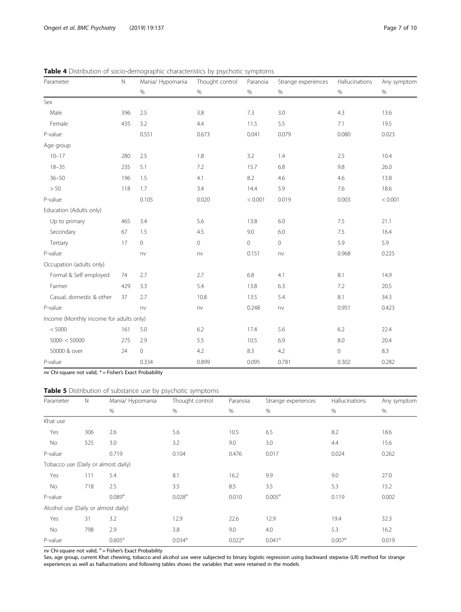| Parameter                               | $\mathbb N$ | Mania/ Hypomania | Thought control | Paranoia | Strange experiences | Hallucinations | Any symptom |
|-----------------------------------------|-------------|------------------|-----------------|----------|---------------------|----------------|-------------|
|                                         |             | $\%$             | $\%$            | $\%$     | $\%$                | $\%$           | $\%$        |
| Sex                                     |             |                  |                 |          |                     |                |             |
| Male                                    | 396         | 2.5              | 3.8             | 7.3      | 3.0                 | 4.3            | 13.6        |
| Female                                  | 435         | 3.2              | 4.4             | 11.5     | 5.5                 | 7.1            | 19.5        |
| P-value                                 |             | 0.551            | 0.673           | 0.041    | 0.079               | 0.080          | 0.023       |
| Age group                               |             |                  |                 |          |                     |                |             |
| $10 - 17$                               | 280         | 2.5              | 1.8             | 3.2      | 1.4                 | 2.5            | 10.4        |
| $18 - 35$                               | 235         | 5.1              | 7.2             | 15.7     | 6.8                 | 9.8            | 26.0        |
| $36 - 50$                               | 196         | 1.5              | 4.1             | 8.2      | 4.6                 | 4.6            | 13.8        |
| > 50                                    | 118         | 1.7              | 3.4             | 14.4     | 5.9                 | 7.6            | 18.6        |
| P-value                                 |             | 0.105            | 0.020           | < 0.001  | 0.019               | 0.003          | < 0.001     |
| Education (Adults only)                 |             |                  |                 |          |                     |                |             |
| Up to primary                           | 465         | 3.4              | 5.6             | 13.8     | 6.0                 | 7.5            | 21.1        |
| Secondary                               | 67          | 1.5              | 4.5             | 9.0      | 6.0                 | 7.5            | 16.4        |
| Tertiary                                | 17          | $\circ$          | 0               | $\circ$  | $\mathsf{O}\xspace$ | 5.9            | 5.9         |
| P-value                                 |             | nv               | nv              | 0.151    | nv                  | 0.968          | 0.225       |
| Occupation (adults only)                |             |                  |                 |          |                     |                |             |
| Formal & Self employed                  | 74          | 2.7              | 2.7             | 6.8      | 4.1                 | 8.1            | 14.9        |
| Farmer                                  | 429         | 3.3              | 5.4             | 13.8     | 6.3                 | 7.2            | 20.5        |
| Casual, domestic & other                | 37          | 2.7              | 10.8            | 13.5     | 5.4                 | 8.1            | 34.3        |
| P-value                                 |             | nv               | nv              | 0.248    | nv                  | 0.951          | 0.423       |
| Income (Monthly income for adults only) |             |                  |                 |          |                     |                |             |
| < 5000                                  | 161         | 5.0              | 6.2             | 17.4     | 5.6                 | 6.2            | 22.4        |
| $5000 - < 50000$                        | 275         | 2.9              | 5.5             | 10.5     | 6.9                 | 8.0            | 20.4        |
| 50000 & over                            | 24          | $\mathbf 0$      | 4.2             | 8.3      | 4.2                 | $\circ$        | $8.3\,$     |
| $P$ -value                              |             | 0.334            | 0.899           | 0.095    | 0.781               | 0.302          | 0.282       |

<span id="page-8-0"></span>Table 4 Distribution of socio-demographic characteristics by psychotic symptoms

 $nv$  Chi-square not valid,  $* =$  Fisher's Exact Probability

|  | Table 5 Distribution of substance use by psychotic symptoms |
|--|-------------------------------------------------------------|
|--|-------------------------------------------------------------|

| Parameter                           | $\mathbb N$ | Mania/ Hypomania   | Thought control    | Paranoia           | Strange experiences  | Hallucinations     | Any symptom |
|-------------------------------------|-------------|--------------------|--------------------|--------------------|----------------------|--------------------|-------------|
|                                     |             | $\%$               | $\%$               | $\%$               | %                    | %                  | %           |
| Khat use                            |             |                    |                    |                    |                      |                    |             |
| Yes                                 | 306         | 2.6                | 5.6                | 10.5               | 6.5                  | 8.2                | 18.6        |
| <b>No</b>                           | 525         | 3.0                | 3.2                | 9.0                | 3.0                  | 4.4                | 15.6        |
| P-value                             |             | 0.719              | 0.104              | 0.476              | 0.017                | 0.024              | 0.262       |
| Tobacco use (Daily or almost daily) |             |                    |                    |                    |                      |                    |             |
| Yes                                 | 111         | 5.4                | 8.1                | 16.2               | 9.9                  | 9.0                | 27.0        |
| <b>No</b>                           | 718         | 2.5                | 3.5                | 8.5                | 3.5                  | 5.3                | 15.2        |
| P-value                             |             | 0.089a             | 0.028 <sup>a</sup> | 0.010              | 0.005 <sup>a</sup>   | 0.119              | 0.002       |
| Alcohol use (Daily or almost daily) |             |                    |                    |                    |                      |                    |             |
| Yes                                 | 31          | 3.2                | 12.9               | 22.6               | 12.9                 | 19.4               | 32.3        |
| No                                  | 798         | 2.9                | 3.8                | 9.0                | 4.0                  | 5.3                | 16.2        |
| P-value                             |             | 0.605 <sup>a</sup> | 0.034 <sup>a</sup> | 0.022 <sup>a</sup> | $0.041$ <sup>a</sup> | 0.007 <sup>a</sup> | 0.019       |

nv Chi-square not valid,  $a =$  Fisher's Exact Probability

Sex, age group, current Khat chewing, tobacco and alcohol use were subjected to binary logistic regression using backward stepwise (LR) method for strange experiences as well as hallucinations and following tables shows the variables that were retained in the models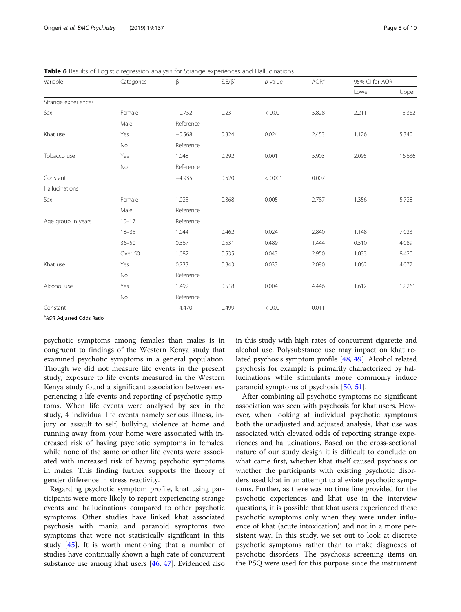| Variable            | Categories | β         | $S.E.(\beta)$ | $p$ -value | AOR <sup>a</sup> | 95% CI for AOR |        |
|---------------------|------------|-----------|---------------|------------|------------------|----------------|--------|
|                     |            |           |               |            |                  | Lower          | Upper  |
| Strange experiences |            |           |               |            |                  |                |        |
| Sex                 | Female     | $-0.752$  | 0.231         | < 0.001    | 5.828            | 2.211          | 15.362 |
|                     | Male       | Reference |               |            |                  |                |        |
| Khat use            | Yes        | $-0.568$  | 0.324         | 0.024      | 2.453            | 1.126          | 5.340  |
|                     | <b>No</b>  | Reference |               |            |                  |                |        |
| Tobacco use         | Yes        | 1.048     | 0.292         | 0.001      | 5.903            | 2.095          | 16.636 |
|                     | No         | Reference |               |            |                  |                |        |
| Constant            |            | $-4.935$  | 0.520         | < 0.001    | 0.007            |                |        |
| Hallucinations      |            |           |               |            |                  |                |        |
| Sex                 | Female     | 1.025     | 0.368         | 0.005      | 2.787            | 1.356          | 5.728  |
|                     | Male       | Reference |               |            |                  |                |        |
| Age group in years  | $10 - 17$  | Reference |               |            |                  |                |        |
|                     | $18 - 35$  | 1.044     | 0.462         | 0.024      | 2.840            | 1.148          | 7.023  |
|                     | $36 - 50$  | 0.367     | 0.531         | 0.489      | 1.444            | 0.510          | 4.089  |
|                     | Over 50    | 1.082     | 0.535         | 0.043      | 2.950            | 1.033          | 8.420  |
| Khat use            | Yes        | 0.733     | 0.343         | 0.033      | 2.080            | 1.062          | 4.077  |
|                     | No         | Reference |               |            |                  |                |        |
| Alcohol use         | Yes        | 1.492     | 0.518         | 0.004      | 4.446            | 1.612          | 12.261 |
|                     | No         | Reference |               |            |                  |                |        |
| Constant            |            | $-4.470$  | 0.499         | < 0.001    | 0.011            |                |        |

<span id="page-9-0"></span>**Table 6** Results of Logistic regression analysis for Strange experiences and Hallucinations

<sup>a</sup> AOR Adjusted Odds Ratio

psychotic symptoms among females than males is in congruent to findings of the Western Kenya study that examined psychotic symptoms in a general population. Though we did not measure life events in the present study, exposure to life events measured in the Western Kenya study found a significant association between experiencing a life events and reporting of psychotic symptoms. When life events were analysed by sex in the study, 4 individual life events namely serious illness, injury or assault to self, bullying, violence at home and running away from your home were associated with increased risk of having psychotic symptoms in females, while none of the same or other life events were associated with increased risk of having psychotic symptoms in males. This finding further supports the theory of gender difference in stress reactivity.

Regarding psychotic symptom profile, khat using participants were more likely to report experiencing strange events and hallucinations compared to other psychotic symptoms. Other studies have linked khat associated psychosis with mania and paranoid symptoms two symptoms that were not statistically significant in this study [\[45](#page-11-0)]. It is worth mentioning that a number of studies have continually shown a high rate of concurrent substance use among khat users [\[46](#page-11-0), [47](#page-11-0)]. Evidenced also

in this study with high rates of concurrent cigarette and alcohol use. Polysubstance use may impact on khat related psychosis symptom profile [[48](#page-11-0), [49](#page-11-0)]. Alcohol related psychosis for example is primarily characterized by hallucinations while stimulants more commonly induce paranoid symptoms of psychosis [[50,](#page-11-0) [51\]](#page-11-0).

After combining all psychotic symptoms no significant association was seen with psychosis for khat users. However, when looking at individual psychotic symptoms both the unadjusted and adjusted analysis, khat use was associated with elevated odds of reporting strange experiences and hallucinations. Based on the cross-sectional nature of our study design it is difficult to conclude on what came first, whether khat itself caused psychosis or whether the participants with existing psychotic disorders used khat in an attempt to alleviate psychotic symptoms. Further, as there was no time line provided for the psychotic experiences and khat use in the interview questions, it is possible that khat users experienced these psychotic symptoms only when they were under influence of khat (acute intoxication) and not in a more persistent way. In this study, we set out to look at discrete psychotic symptoms rather than to make diagnoses of psychotic disorders. The psychosis screening items on the PSQ were used for this purpose since the instrument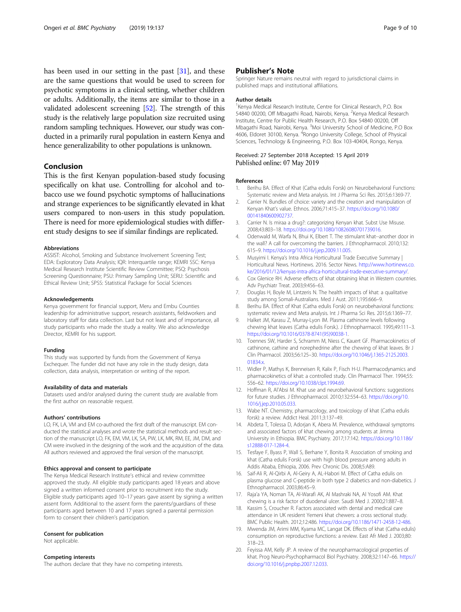<span id="page-10-0"></span>has been used in our setting in the past [[31\]](#page-11-0), and these are the same questions that would be used to screen for psychotic symptoms in a clinical setting, whether children or adults. Additionally, the items are similar to those in a validated adolescent screening [[52\]](#page-11-0). The strength of this study is the relatively large population size recruited using random sampling techniques. However, our study was conducted in a primarily rural population in eastern Kenya and hence generalizability to other populations is unknown.

# Conclusion

This is the first Kenyan population-based study focusing specifically on khat use. Controlling for alcohol and tobacco use we found psychotic symptoms of hallucinations and strange experiences to be significantly elevated in khat users compared to non-users in this study population. There is need for more epidemiological studies with different study designs to see if similar findings are replicated.

# Abbreviations

ASSIST: Alcohol, Smoking and Substance Involvement Screening Test; EDA: Exploratory Data Analysis; IQR: Interquartile range; KEMRI SSC: Kenya Medical Research Institute Scientific Review Committee; PSQ: Psychosis Screening Questionnaire; PSU: Primary Sampling Unit; SERU: Scientific and Ethical Review Unit; SPSS: Statistical Package for Social Sciences

### Acknowledgements

Kenya government for financial support, Meru and Embu Counties leadership for administrative support, research assistants, fieldworkers and laboratory staff for data collection. Last but not least and of importance, all study participants who made the study a reality. We also acknowledge Director, KEMRI for his support.

## Funding

This study was supported by funds from the Government of Kenya Exchequer. The funder did not have any role in the study design, data collection, data analysis, interpretation or writing of the report.

### Availability of data and materials

Datasets used and/or analysed during the current study are available from the first author on reasonable request.

### Authors' contributions

LO, FK, LA, VM and EM co-authored the first draft of the manuscript. EM conducted the statistical analyses and wrote the statistical methods and result section of the manuscript LO, FK, EM, VM, LK, SA, PW, LK, MK, RM, EE, JM, DM, and CM were involved in the designing of the work and the acquisition of the data. All authors reviewed and approved the final version of the manuscript.

### Ethics approval and consent to participate

The Kenya Medical Research Institute's ethical and review committee approved the study. All eligible study participants aged 18 years and above signed a written informed consent prior to recruitment into the study. Eligible study participants aged 10–17 years gave assent by signing a written assent form. Additional to the assent form the parents/guardians of these participants aged between 10 and 17 years signed a parental permission form to consent their children's participation.

### Consent for publication

Not applicable.

# Competing interests

The authors declare that they have no competing interests.

# Publisher's Note

Springer Nature remains neutral with regard to jurisdictional claims in published maps and institutional affiliations.

### Author details

<sup>1</sup> Kenya Medical Research Institute, Centre for Clinical Research, P.O. Box 54840 00200, Off Mbagathi Road, Nairobi, Kenya. <sup>2</sup>Kenya Medical Research Institute, Centre for Public Health Research, P.O. Box 54840 00200, Off Mbagathi Road, Nairobi, Kenya. <sup>3</sup>Moi University School of Medicine, P.O Box 4606, Eldoret 30100, Kenya. <sup>4</sup>Rongo University College, School of Physical Sciences, Technology & Engineering, P.O. Box 103-40404, Rongo, Kenya.

# Received: 27 September 2018 Accepted: 15 April 2019 Published online: 07 May 2019

# References

- 1. Berihu BA. Effect of Khat (Catha edulis Forsk) on Neurobehavioral Functions: Systematic review and Meta analysis. Int J Pharma Sci Res. 2015;6:1369-77.
- 2. Carrier N. Bundles of choice: variety and the creation and manipulation of Kenyan Khat's value. Ethnos. 2006;71:415–37. [https://doi.org/10.1080/](https://doi.org/10.1080/00141840600902737) [00141840600902737.](https://doi.org/10.1080/00141840600902737)
- 3. Carrier N. Is miraa a drug?: categorizing Kenyan khat. Subst Use Misuse. 2008;43:803–18. [https://doi.org/10.1080/10826080701739016.](https://doi.org/10.1080/10826080701739016)
- 4. Odenwald M, Warfa N, Bhui K, Elbert T. The stimulant khat--another door in the wall? A call for overcoming the barriers. J Ethnopharmacol. 2010;132: 615–9. <https://doi.org/10.1016/j.jep.2009.11.005>.
- 5. Musyimi I. Kenya's Intra Africa Horticultural Trade Executive Summary | Horticultural News. Hortinews. 2016. Sector News. [http://www.hortinews.co.](http://www.hortinews.co.ke/2016/01/12/kenyas-intra-africa-horticultural-trade-executive-summary/) [ke/2016/01/12/kenyas-intra-africa-horticultural-trade-executive-summary/.](http://www.hortinews.co.ke/2016/01/12/kenyas-intra-africa-horticultural-trade-executive-summary/)
- 6. Cox Glenice RH. Adverse effects of khat obtaining khat in Western countries. Adv Psychiatr Treat. 2003;9:456–63.
- 7. Douglas H, Boyle M, Lintzeris N. The health impacts of khat: a qualitative study among Somali-Australians. Med J Aust. 2011;195:666–9.
- 8. Berihu BA. Effect of Khat (Catha edulis Forsk) on neurobehavioral functions: systematic review and Meta analysis. Int J Pharma Sci Res. 2015;6:1369–77.
- 9. Halket JM, Karasu Z, Murray-Lyon IM. Plasma cathinone levels following chewing khat leaves (Catha edulis Forsk.). J Ethnopharmacol. 1995;49:111–3. [https://doi.org/10.1016/0378-8741\(95\)90038-1](https://doi.org/10.1016/0378-8741(95)90038-1).
- 10. Toennes SW, Harder S, Schramm M, Niess C, Kauert GF. Pharmacokinetics of cathinone, cathine and norephedrine after the chewing of khat leaves. Br J Clin Pharmacol. 2003;56:125–30. [https://doi.org/10.1046/j.1365-2125.2003.](https://doi.org/10.1046/j.1365-2125.2003.01834.x) [01834.x](https://doi.org/10.1046/j.1365-2125.2003.01834.x).
- 11. Widler P, Mathys K, Brenneisen R, Kalix P, Fisch H-U. Pharmacodynamics and pharmacokinetics of khat: a controlled study. Clin Pharmacol Ther. 1994;55: 556–62. <https://doi.org/10.1038/clpt.1994.69>.
- 12. Hoffman R, Al'Absi M. Khat use and neurobehavioral functions: suggestions for future studies. J Ethnopharmacol. 2010;132:554–63. [https://doi.org/10.](https://doi.org/10.1016/j.jep.2010.05.033) [1016/j.jep.2010.05.033.](https://doi.org/10.1016/j.jep.2010.05.033)
- 13. Wabe NT. Chemistry, pharmacology, and toxicology of khat (Catha edulis forsk): a review. Addict Heal. 2011;3:137–49.
- 14. Abdeta T, Tolessa D, Adorjan K, Abera M. Prevalence, withdrawal symptoms and associated factors of khat chewing among students at Jimma University in Ethiopia. BMC Psychiatry. 2017;17:142. [https://doi.org/10.1186/](https://doi.org/10.1186/s12888-017-1284-4) [s12888-017-1284-4.](https://doi.org/10.1186/s12888-017-1284-4)
- 15. Tesfaye F, Byass P, Wall S, Berhane Y, Bonita R. Association of smoking and khat (Catha edulis Forsk) use with high blood pressure among adults in Addis Ababa, Ethiopia, 2006. Prev Chronic Dis. 2008;5:A89.
- 16. Saif-Ali R, Al-Qirbi A, Al-Geiry A, AL-Habori M. Effect of Catha edulis on plasma glucose and C-peptide in both type 2 diabetics and non-diabetics. J Ethnopharmacol. 2003;86:45–9.
- 17. Raja'a YA, Noman TA, Al-Warafi AK, Al Mashraki NA, Al Yosofi AM. Khat chewing is a risk factor of duodenal ulcer. Saudi Med J. 2000;21:887–8.
- 18. Kassim S, Croucher R. Factors associated with dental and medical care attendance in UK resident Yemeni khat chewers: a cross sectional study. BMC Public Health. 2012;12:486. <https://doi.org/10.1186/1471-2458-12-486>.
- 19. Mwenda JM, Arimi MM, Kyama MC, Langat DK. Effects of khat (Catha edulis) consumption on reproductive functions: a review. East Afr Med J. 2003;80: 318–23.
- 20. Feyissa AM, Kelly JP. A review of the neuropharmacological properties of khat. Prog Neuro-Psychopharmacol Biol Psychiatry. 2008;32:1147–66. [https://](https://doi.org/10.1016/j.pnpbp.2007.12.033) [doi.org/10.1016/j.pnpbp.2007.12.033](https://doi.org/10.1016/j.pnpbp.2007.12.033).